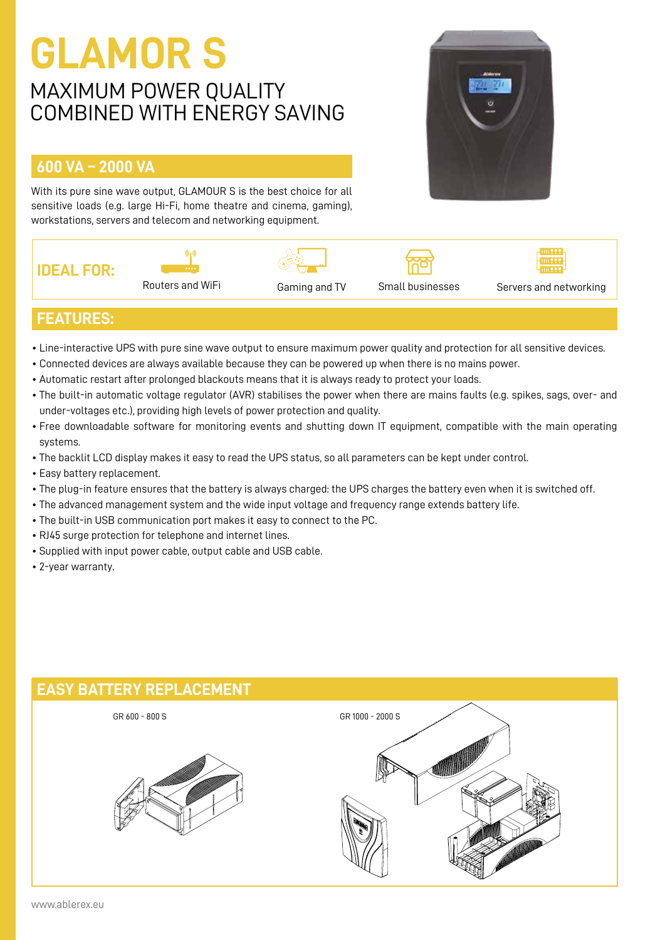## **GLAMOR S**

### MAXIMUM POWER QUALITY COMBINED WITH ENERGY SAVING

#### **600 VA – 2000 VA**

With its pure sine wave output, GLAMOUR S is the best choice for all sensitive loads (e.g. large Hi-Fi, home theatre and cinema, gaming), workstations, servers and telecom and networking equipment.











#### **FEATURES:**

- Line-interactive UPS with pure sine wave output to ensure maximum power quality and protection for all sensitive devices.
- Connected devices are always available because they can be powered up when there is no mains power.
- Automatic restart after prolonged blackouts means that it is always ready to protect your loads.
- The built-in automatic voltage regulator (AVR) stabilises the power when there are mains faults (e.g. spikes, sags, over- and under-voltages etc.), providing high levels of power protection and quality.
- Free downloadable software for monitoring events and shutting down IT equipment, compatible with the main operating systems.
- The backlit LCD display makes it easy to read the UPS status, so all parameters can be kept under control.
- Easy battery replacement.
- The plug-in feature ensures that the battery is always charged: the UPS charges the battery even when it is switched off.
- The advanced management system and the wide input voltage and frequency range extends battery life.
- The built-in USB communication port makes it easy to connect to the PC.
- RJ45 surge protection for telephone and internet lines.
- Supplied with input power cable, output cable and USB cable.
- 2-year warranty.

# **EASY BATTERY REPLACEMENT** GR 600 - 800 S GR 1000 - 2000 S